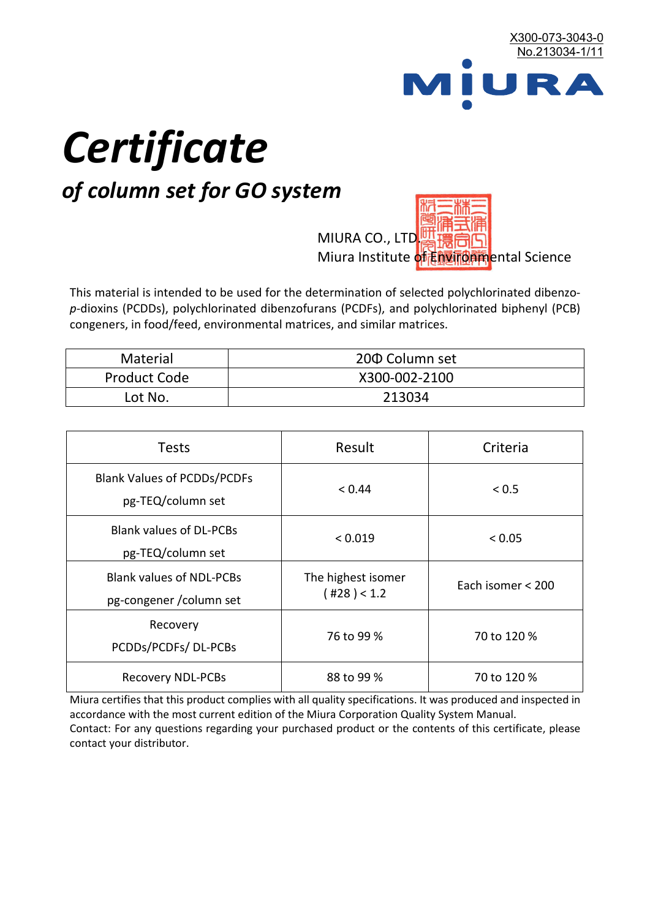

# *Certificate*

## *of column set for GO system*

MIURA CO., LTD. Miura Institute of 正版而解ental Science

This material is intended to be used for the determination of selected polychlorinated dibenzo*p*-dioxins (PCDDs), polychlorinated dibenzofurans (PCDFs), and polychlorinated biphenyl (PCB) congeners, in food/feed, environmental matrices, and similar matrices.

| <b>Material</b>     | 200 Column set |  |
|---------------------|----------------|--|
| <b>Product Code</b> | X300-002-2100  |  |
| Lot No.             | 213034         |  |

| <b>Tests</b>                                                | Result                            | Criteria          |
|-------------------------------------------------------------|-----------------------------------|-------------------|
| <b>Blank Values of PCDDs/PCDFs</b><br>pg-TEQ/column set     | < 0.44                            | < 0.5             |
| <b>Blank values of DL-PCBs</b><br>pg-TEQ/column set         | < 0.019                           | < 0.05            |
| <b>Blank values of NDL-PCBs</b><br>pg-congener / column set | The highest isomer<br>(428) < 1.2 | Each isomer < 200 |
| Recovery<br>PCDDs/PCDFs/DL-PCBs                             | 76 to 99 %                        | 70 to 120 %       |
| <b>Recovery NDL-PCBs</b>                                    | 88 to 99 %                        | 70 to 120 %       |

Miura certifies that this product complies with all quality specifications. It was produced and inspected in accordance with the most current edition of the Miura Corporation Quality System Manual. Contact: For any questions regarding your purchased product or the contents of this certificate, please contact your distributor.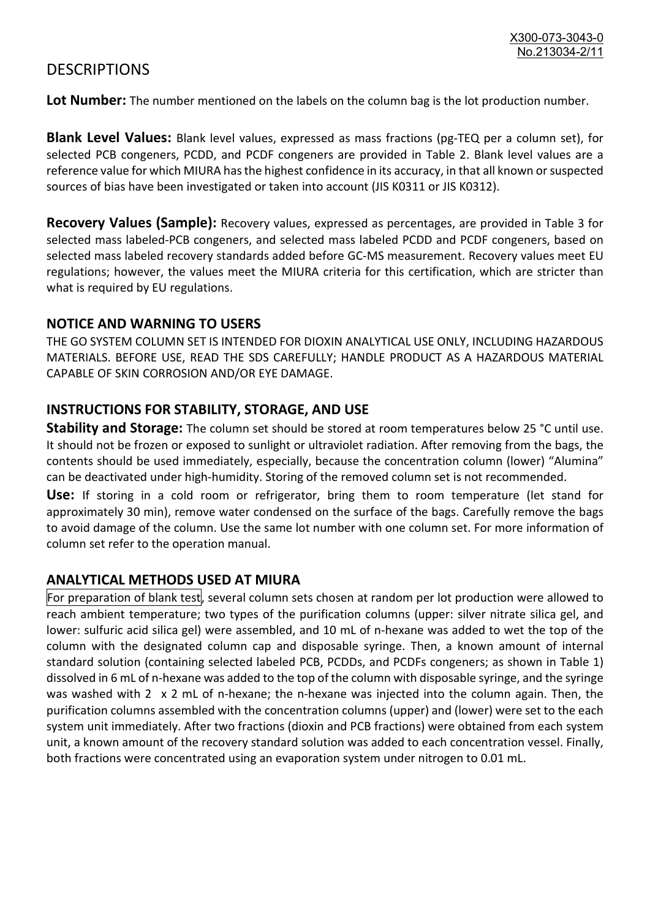### **DESCRIPTIONS**

**Lot Number:** The number mentioned on the labels on the column bag is the lot production number.

**Blank Level Values:** Blank level values, expressed as mass fractions (pg-TEQ per a column set), for selected PCB congeners, PCDD, and PCDF congeners are provided in Table 2. Blank level values are a reference value for which MIURA has the highest confidence in its accuracy, in that all known or suspected sources of bias have been investigated or taken into account (JIS K0311 or JIS K0312).

**Recovery Values (Sample):** Recovery values, expressed as percentages, are provided in Table 3 for selected mass labeled-PCB congeners, and selected mass labeled PCDD and PCDF congeners, based on selected mass labeled recovery standards added before GC-MS measurement. Recovery values meet EU regulations; however, the values meet the MIURA criteria for this certification, which are stricter than what is required by EU regulations.

#### **NOTICE AND WARNING TO USERS**

THE GO SYSTEM COLUMN SET IS INTENDED FOR DIOXIN ANALYTICAL USE ONLY, INCLUDING HAZARDOUS MATERIALS. BEFORE USE, READ THE SDS CAREFULLY; HANDLE PRODUCT AS A HAZARDOUS MATERIAL CAPABLE OF SKIN CORROSION AND/OR EYE DAMAGE.

#### **INSTRUCTIONS FOR STABILITY, STORAGE, AND USE**

**Stability and Storage:** The column set should be stored at room temperatures below 25 °C until use. It should not be frozen or exposed to sunlight or ultraviolet radiation. After removing from the bags, the contents should be used immediately, especially, because the concentration column (lower) "Alumina" can be deactivated under high-humidity. Storing of the removed column set is not recommended.

**Use:** If storing in a cold room or refrigerator, bring them to room temperature (let stand for approximately 30 min), remove water condensed on the surface of the bags. Carefully remove the bags to avoid damage of the column. Use the same lot number with one column set. For more information of column set refer to the operation manual.

#### **ANALYTICAL METHODS USED AT MIURA**

For preparation of blank test, several column sets chosen at random per lot production were allowed to reach ambient temperature; two types of the purification columns (upper: silver nitrate silica gel, and lower: sulfuric acid silica gel) were assembled, and 10 mL of n-hexane was added to wet the top of the column with the designated column cap and disposable syringe. Then, a known amount of internal standard solution (containing selected labeled PCB, PCDDs, and PCDFs congeners; as shown in Table 1) dissolved in 6 mL of n-hexane was added to the top of the column with disposable syringe, and the syringe was washed with 2 x 2 mL of n-hexane; the n-hexane was injected into the column again. Then, the purification columns assembled with the concentration columns (upper) and (lower) were set to the each system unit immediately. After two fractions (dioxin and PCB fractions) were obtained from each system unit, a known amount of the recovery standard solution was added to each concentration vessel. Finally, both fractions were concentrated using an evaporation system under nitrogen to 0.01 mL.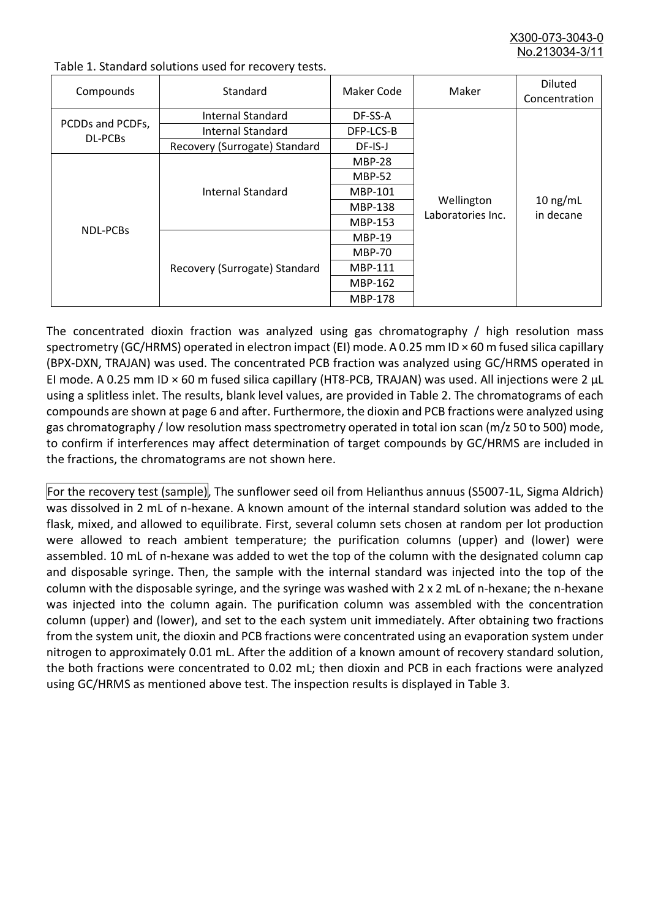X300-073-3043-0 No.213034-3/

| Compounds                   | Standard                      | Maker Code     | Maker                           | <b>Diluted</b><br>Concentration |
|-----------------------------|-------------------------------|----------------|---------------------------------|---------------------------------|
| PCDDs and PCDFs,<br>DL-PCBs | Internal Standard             | DF-SS-A        |                                 | $10$ ng/mL<br>in decane         |
|                             | <b>Internal Standard</b>      | DFP-LCS-B      |                                 |                                 |
|                             | Recovery (Surrogate) Standard | DF-IS-J        | Wellington<br>Laboratories Inc. |                                 |
| <b>NDL-PCBs</b>             | Internal Standard             | <b>MBP-28</b>  |                                 |                                 |
|                             |                               | <b>MBP-52</b>  |                                 |                                 |
|                             |                               | MBP-101        |                                 |                                 |
|                             |                               | <b>MBP-138</b> |                                 |                                 |
|                             |                               | MBP-153        |                                 |                                 |
|                             | Recovery (Surrogate) Standard | <b>MBP-19</b>  |                                 |                                 |
|                             |                               | <b>MBP-70</b>  |                                 |                                 |
|                             |                               | MBP-111        |                                 |                                 |
|                             |                               | MBP-162        |                                 |                                 |
|                             |                               | <b>MBP-178</b> |                                 |                                 |

Table 1. Standard solutions used for recovery tests.

The concentrated dioxin fraction was analyzed using gas chromatography / high resolution mass spectrometry (GC/HRMS) operated in electron impact (EI) mode. A 0.25 mm ID × 60 m fused silica capillary (BPX-DXN, TRAJAN) was used. The concentrated PCB fraction was analyzed using GC/HRMS operated in EI mode. A 0.25 mm ID × 60 m fused silica capillary (HT8-PCB, TRAJAN) was used. All injections were 2 μL using a splitless inlet. The results, blank level values, are provided in Table 2. The chromatograms of each compounds are shown at page 6 and after. Furthermore, the dioxin and PCB fractions were analyzed using gas chromatography / low resolution mass spectrometry operated in total ion scan (m/z 50 to 500) mode, to confirm if interferences may affect determination of target compounds by GC/HRMS are included in the fractions, the chromatograms are not shown here.

For the recovery test (sample), The sunflower seed oil from Helianthus annuus (S5007-1L, Sigma Aldrich) was dissolved in 2 mL of n-hexane. A known amount of the internal standard solution was added to the flask, mixed, and allowed to equilibrate. First, several column sets chosen at random per lot production were allowed to reach ambient temperature; the purification columns (upper) and (lower) were assembled. 10 mL of n-hexane was added to wet the top of the column with the designated column cap and disposable syringe. Then, the sample with the internal standard was injected into the top of the column with the disposable syringe, and the syringe was washed with 2 x 2 mL of n-hexane; the n-hexane was injected into the column again. The purification column was assembled with the concentration column (upper) and (lower), and set to the each system unit immediately. After obtaining two fractions from the system unit, the dioxin and PCB fractions were concentrated using an evaporation system under nitrogen to approximately 0.01 mL. After the addition of a known amount of recovery standard solution, the both fractions were concentrated to 0.02 mL; then dioxin and PCB in each fractions were analyzed using GC/HRMS as mentioned above test. The inspection results is displayed in Table 3.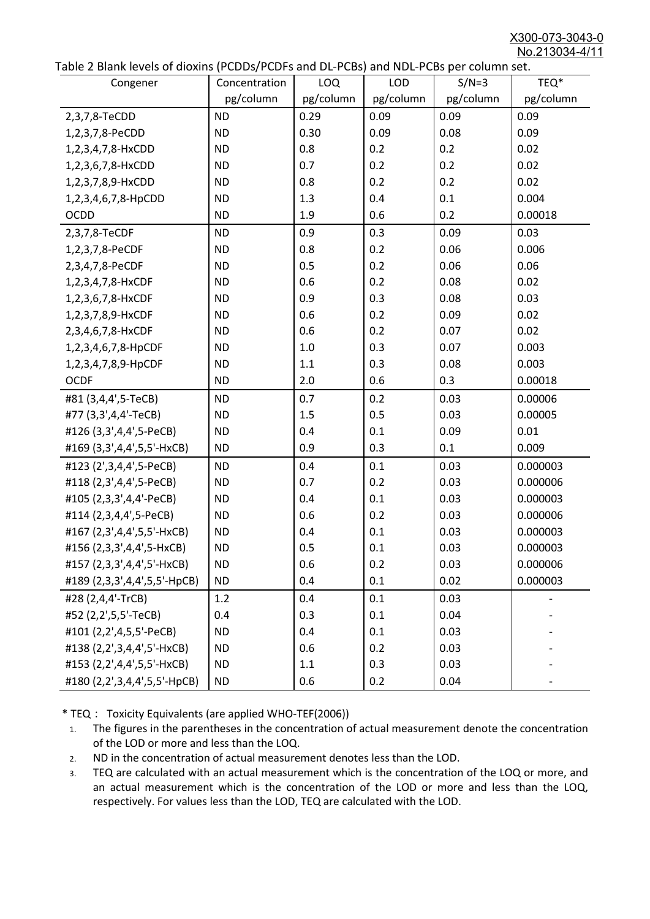X300-073-3043-0 No.213034-4/11

|  | Table 2 Blank levels of dioxins (PCDDs/PCDFs and DL-PCBs) and NDL-PCBs per column set. |
|--|----------------------------------------------------------------------------------------|
|--|----------------------------------------------------------------------------------------|

| abic 2 Diarik icveis of dioxins (I CDD3/TCDTs and DET CD3/ and NDET CD3 pcr column sett.<br>Congener | Concentration | <b>LOQ</b> | <b>LOD</b> | $S/N=3$   | TEQ*      |
|------------------------------------------------------------------------------------------------------|---------------|------------|------------|-----------|-----------|
|                                                                                                      | pg/column     | pg/column  | pg/column  | pg/column | pg/column |
| 2,3,7,8-TeCDD                                                                                        | <b>ND</b>     | 0.29       | 0.09       | 0.09      | 0.09      |
| 1,2,3,7,8-PeCDD                                                                                      | <b>ND</b>     | 0.30       | 0.09       | 0.08      | 0.09      |
| 1,2,3,4,7,8-HxCDD                                                                                    | <b>ND</b>     | 0.8        | 0.2        | 0.2       | 0.02      |
| 1,2,3,6,7,8-HxCDD                                                                                    | <b>ND</b>     | 0.7        | 0.2        | 0.2       | 0.02      |
| 1,2,3,7,8,9-HxCDD                                                                                    | <b>ND</b>     | 0.8        | 0.2        | 0.2       | 0.02      |
| 1,2,3,4,6,7,8-HpCDD                                                                                  | <b>ND</b>     | 1.3        | 0.4        | 0.1       | 0.004     |
| <b>OCDD</b>                                                                                          | <b>ND</b>     | 1.9        | 0.6        | 0.2       | 0.00018   |
| 2,3,7,8-TeCDF                                                                                        | <b>ND</b>     | 0.9        | 0.3        | 0.09      | 0.03      |
| 1,2,3,7,8-PeCDF                                                                                      | <b>ND</b>     | 0.8        | 0.2        | 0.06      | 0.006     |
| 2,3,4,7,8-PeCDF                                                                                      | <b>ND</b>     | 0.5        | 0.2        | 0.06      | 0.06      |
| 1,2,3,4,7,8-HxCDF                                                                                    | <b>ND</b>     | 0.6        | 0.2        | 0.08      | 0.02      |
| 1,2,3,6,7,8-HxCDF                                                                                    | <b>ND</b>     | 0.9        | 0.3        | 0.08      | 0.03      |
| 1,2,3,7,8,9-HxCDF                                                                                    | <b>ND</b>     | 0.6        | 0.2        | 0.09      | 0.02      |
| 2,3,4,6,7,8-HxCDF                                                                                    | <b>ND</b>     | 0.6        | 0.2        | 0.07      | 0.02      |
| 1,2,3,4,6,7,8-HpCDF                                                                                  | <b>ND</b>     | 1.0        | 0.3        | 0.07      | 0.003     |
| 1,2,3,4,7,8,9-HpCDF                                                                                  | <b>ND</b>     | 1.1        | 0.3        | 0.08      | 0.003     |
| <b>OCDF</b>                                                                                          | <b>ND</b>     | 2.0        | 0.6        | 0.3       | 0.00018   |
| #81 (3,4,4',5-TeCB)                                                                                  | <b>ND</b>     | 0.7        | 0.2        | 0.03      | 0.00006   |
| #77 (3,3',4,4'-TeCB)                                                                                 | <b>ND</b>     | 1.5        | 0.5        | 0.03      | 0.00005   |
| #126 (3,3',4,4',5-PeCB)                                                                              | <b>ND</b>     | 0.4        | 0.1        | 0.09      | 0.01      |
| #169 (3,3',4,4',5,5'-HxCB)                                                                           | <b>ND</b>     | 0.9        | 0.3        | 0.1       | 0.009     |
| #123 (2',3,4,4',5-PeCB)                                                                              | <b>ND</b>     | 0.4        | 0.1        | 0.03      | 0.000003  |
| #118 (2,3',4,4',5-PeCB)                                                                              | <b>ND</b>     | 0.7        | 0.2        | 0.03      | 0.000006  |
| #105 (2,3,3',4,4'-PeCB)                                                                              | <b>ND</b>     | 0.4        | 0.1        | 0.03      | 0.000003  |
| #114 (2,3,4,4',5-PeCB)                                                                               | <b>ND</b>     | 0.6        | 0.2        | 0.03      | 0.000006  |
| #167 (2,3',4,4',5,5'-HxCB)                                                                           | <b>ND</b>     | 0.4        | 0.1        | 0.03      | 0.000003  |
| #156 (2,3,3',4,4',5-HxCB)                                                                            | <b>ND</b>     | 0.5        | 0.1        | 0.03      | 0.000003  |
| #157 (2,3,3',4,4',5'-HxCB)                                                                           | <b>ND</b>     | 0.6        | 0.2        | 0.03      | 0.000006  |
| #189 (2,3,3',4,4',5,5'-HpCB)                                                                         | <b>ND</b>     | 0.4        | 0.1        | 0.02      | 0.000003  |
| #28 (2,4,4'-TrCB)                                                                                    | 1.2           | 0.4        | 0.1        | 0.03      |           |
| #52 (2,2',5,5'-TeCB)                                                                                 | 0.4           | 0.3        | 0.1        | 0.04      |           |
| #101 (2,2',4,5,5'-PeCB)                                                                              | <b>ND</b>     | 0.4        | 0.1        | 0.03      |           |
| #138 (2,2',3,4,4',5'-HxCB)                                                                           | <b>ND</b>     | 0.6        | 0.2        | 0.03      |           |
| #153 (2,2',4,4',5,5'-HxCB)                                                                           | <b>ND</b>     | 1.1        | 0.3        | 0.03      |           |
| #180 (2,2',3,4,4',5,5'-HpCB)                                                                         | <b>ND</b>     | 0.6        | 0.2        | 0.04      |           |

\* TEQ: Toxicity Equivalents (are applied WHO-TEF(2006))

- 1. The figures in the parentheses in the concentration of actual measurement denote the concentration of the LOD or more and less than the LOQ.
- 2. ND in the concentration of actual measurement denotes less than the LOD.
- 3. TEQ are calculated with an actual measurement which is the concentration of the LOQ or more, and an actual measurement which is the concentration of the LOD or more and less than the LOQ, respectively. For values less than the LOD, TEQ are calculated with the LOD.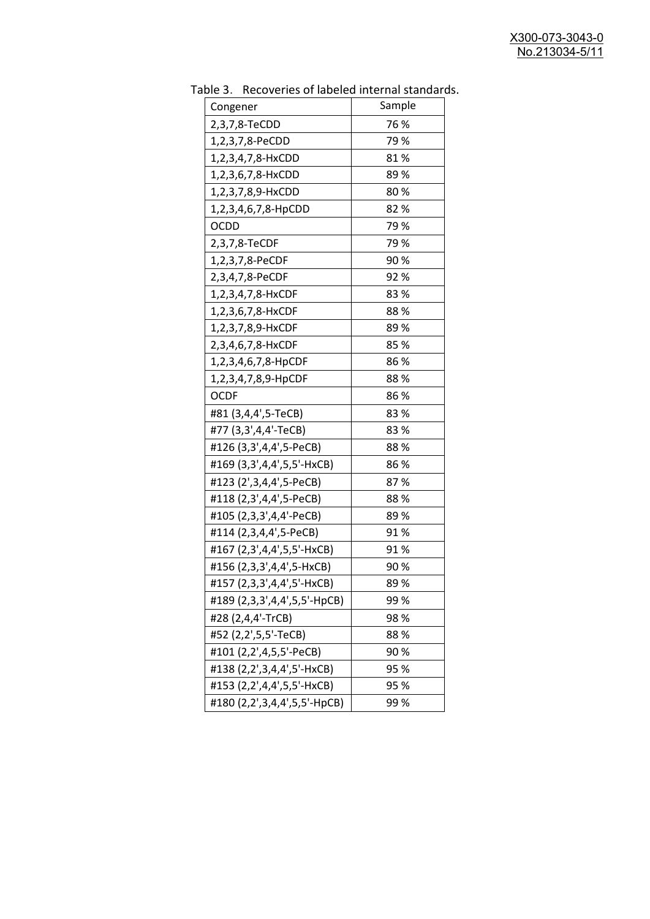| uwic J.<br><u>RECOVERTS OF RESERVED INTERNATION STATIONS</u> |        |
|--------------------------------------------------------------|--------|
| Congener                                                     | Sample |
| 2,3,7,8-TeCDD                                                | 76 %   |
| 1,2,3,7,8-PeCDD                                              | 79 %   |
| 1,2,3,4,7,8-HxCDD                                            | 81%    |
| 1,2,3,6,7,8-HxCDD                                            | 89%    |
| 1,2,3,7,8,9-HxCDD                                            | 80%    |
| 1,2,3,4,6,7,8-HpCDD                                          | 82%    |
| <b>OCDD</b>                                                  | 79%    |
| 2,3,7,8-TeCDF                                                | 79 %   |
| 1,2,3,7,8-PeCDF                                              | 90%    |
| 2,3,4,7,8-PeCDF                                              | 92%    |
| 1,2,3,4,7,8-HxCDF                                            | 83%    |
| 1,2,3,6,7,8-HxCDF                                            | 88%    |
| 1,2,3,7,8,9-HxCDF                                            | 89%    |
| 2,3,4,6,7,8-HxCDF                                            | 85%    |
| 1,2,3,4,6,7,8-HpCDF                                          | 86 %   |
| 1,2,3,4,7,8,9-HpCDF                                          | 88%    |
| <b>OCDF</b>                                                  | 86%    |
| #81 (3,4,4',5-TeCB)                                          | 83%    |
| #77 (3,3',4,4'-TeCB)                                         | 83%    |
| #126 (3,3',4,4',5-PeCB)                                      | 88%    |
| #169 (3,3',4,4',5,5'-HxCB)                                   | 86 %   |
| #123 (2',3,4,4',5-PeCB)                                      | 87%    |
| #118 (2,3',4,4',5-PeCB)                                      | 88%    |
| #105 (2,3,3',4,4'-PeCB)                                      | 89 %   |
| #114 (2,3,4,4',5-PeCB)                                       | 91%    |
| #167 (2,3',4,4',5,5'-HxCB)                                   | 91%    |
| #156 (2,3,3',4,4',5-HxCB)                                    | 90%    |
| #157 (2,3,3',4,4',5'-HxCB)                                   | 89 %   |
| #189 (2,3,3',4,4',5,5'-HpCB)                                 | 99 %   |
| #28 (2,4,4'-TrCB)                                            | 98 %   |
| #52 (2,2',5,5'-TeCB)                                         | 88%    |
| #101 (2,2',4,5,5'-PeCB)                                      | 90%    |
| #138 (2,2',3,4,4',5'-HxCB)                                   | 95 %   |
| #153 (2,2',4,4',5,5'-HxCB)                                   | 95 %   |
| #180 (2,2',3,4,4',5,5'-HpCB)                                 | 99%    |

Table 3. Recoveries of labeled internal standards.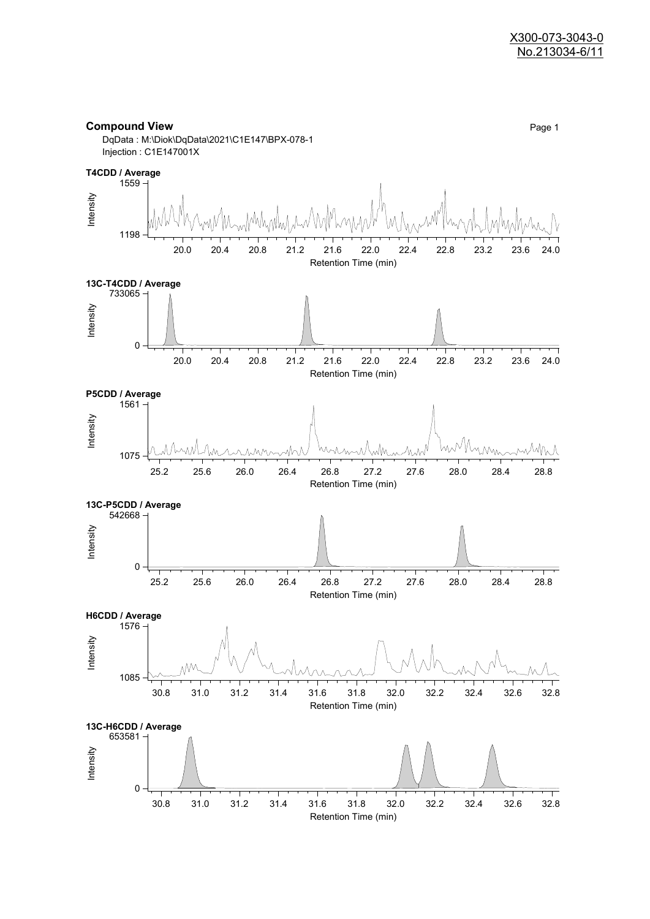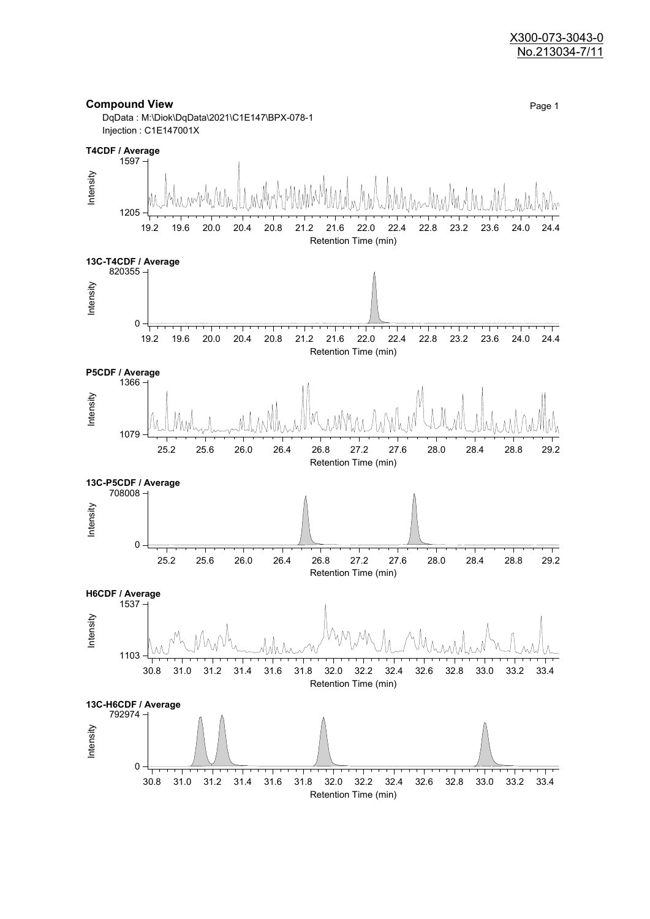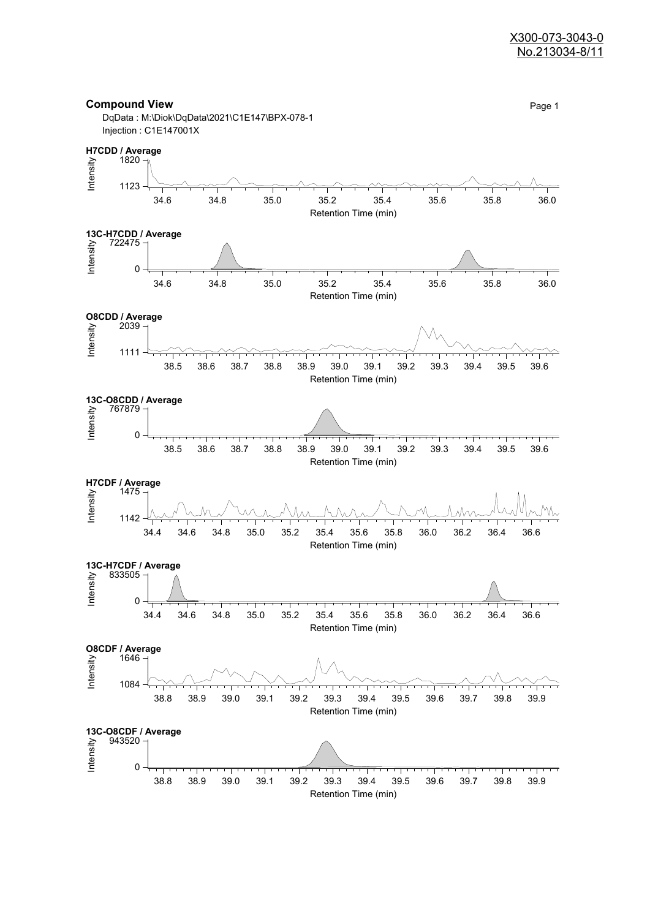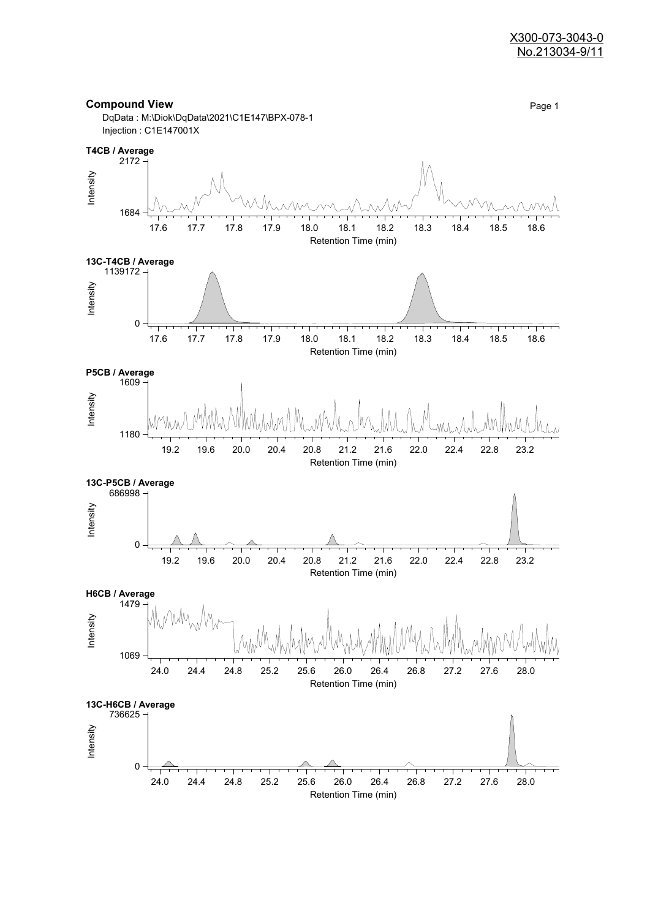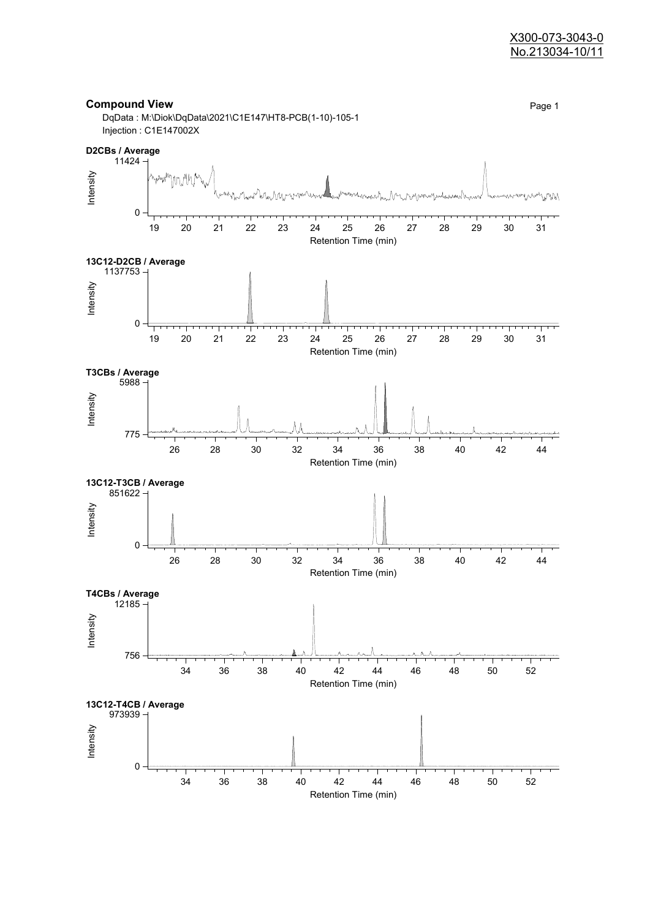